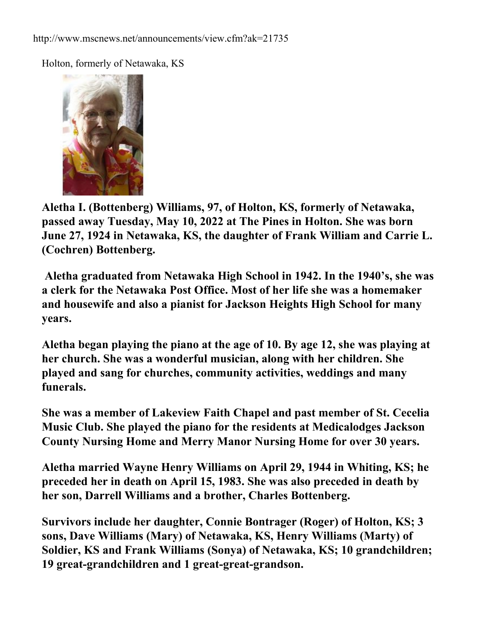Holton, formerly of Netawaka, KS



**Aletha I. (Bottenberg) Williams, 97, of Holton, KS, formerly of Netawaka, passed away Tuesday, May 10, 2022 at The Pines in Holton. She was born June 27, 1924 in Netawaka, KS, the daughter of Frank William and Carrie L. (Cochren) Bottenberg.**

 **Aletha graduated from Netawaka High School in 1942. In the 1940's, she was a clerk for the Netawaka Post Office. Most of her life she was a homemaker and housewife and also a pianist for Jackson Heights High School for many years.**

**Aletha began playing the piano at the age of 10. By age 12, she was playing at her church. She was a wonderful musician, along with her children. She played and sang for churches, community activities, weddings and many funerals.**

**She was a member of Lakeview Faith Chapel and past member of St. Cecelia Music Club. She played the piano for the residents at Medicalodges Jackson County Nursing Home and Merry Manor Nursing Home for over 30 years.**

**Aletha married Wayne Henry Williams on April 29, 1944 in Whiting, KS; he preceded her in death on April 15, 1983. She was also preceded in death by her son, Darrell Williams and a brother, Charles Bottenberg.**

**Survivors include her daughter, Connie Bontrager (Roger) of Holton, KS; 3 sons, Dave Williams (Mary) of Netawaka, KS, Henry Williams (Marty) of Soldier, KS and Frank Williams (Sonya) of Netawaka, KS; 10 grandchildren; 19 great-grandchildren and 1 great-great-grandson.**